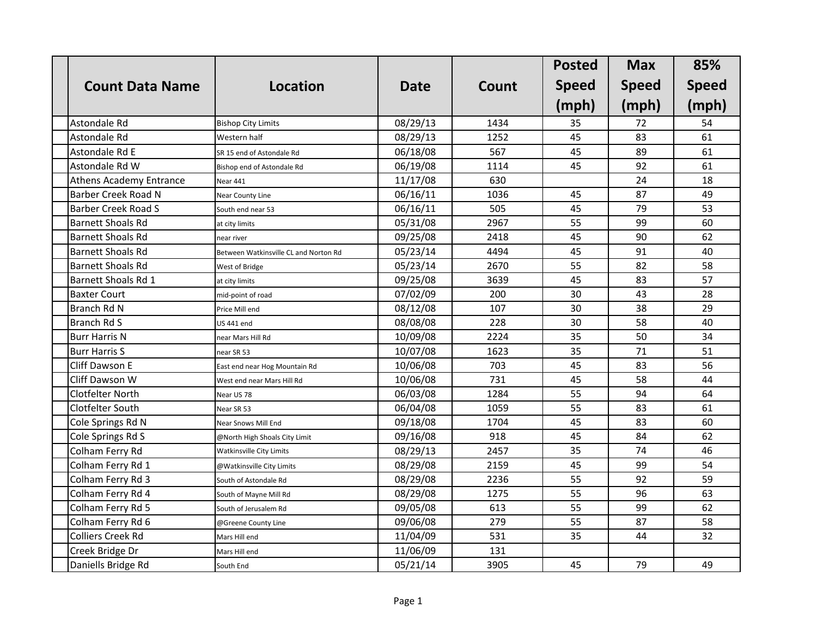|                                |                                       |             |       | <b>Posted</b> | <b>Max</b>   | 85%          |
|--------------------------------|---------------------------------------|-------------|-------|---------------|--------------|--------------|
| <b>Count Data Name</b>         | <b>Location</b>                       | <b>Date</b> | Count | <b>Speed</b>  | <b>Speed</b> | <b>Speed</b> |
|                                |                                       |             |       | (mph)         | (mph)        | (mph)        |
| Astondale Rd                   | <b>Bishop City Limits</b>             | 08/29/13    | 1434  | 35            | 72           | 54           |
| Astondale Rd                   | Western half                          | 08/29/13    | 1252  | 45            | 83           | 61           |
| Astondale Rd E                 | SR 15 end of Astondale Rd             | 06/18/08    | 567   | 45            | 89           | 61           |
| Astondale Rd W                 | Bishop end of Astondale Rd            | 06/19/08    | 1114  | 45            | 92           | 61           |
| <b>Athens Academy Entrance</b> | Near 441                              | 11/17/08    | 630   |               | 24           | 18           |
| Barber Creek Road N            | Near County Line                      | 06/16/11    | 1036  | 45            | 87           | 49           |
| <b>Barber Creek Road S</b>     | South end near 53                     | 06/16/11    | 505   | 45            | 79           | 53           |
| <b>Barnett Shoals Rd</b>       | at city limits                        | 05/31/08    | 2967  | 55            | 99           | 60           |
| <b>Barnett Shoals Rd</b>       | near river                            | 09/25/08    | 2418  | 45            | 90           | 62           |
| <b>Barnett Shoals Rd</b>       | Between Watkinsville CL and Norton Rd | 05/23/14    | 4494  | 45            | 91           | 40           |
| <b>Barnett Shoals Rd</b>       | West of Bridge                        | 05/23/14    | 2670  | 55            | 82           | 58           |
| Barnett Shoals Rd 1            | at city limits                        | 09/25/08    | 3639  | 45            | 83           | 57           |
| <b>Baxter Court</b>            | mid-point of road                     | 07/02/09    | 200   | 30            | 43           | 28           |
| Branch Rd N                    | Price Mill end                        | 08/12/08    | 107   | 30            | 38           | 29           |
| Branch Rd S                    | <b>US 441 end</b>                     | 08/08/08    | 228   | 30            | 58           | 40           |
| <b>Burr Harris N</b>           | near Mars Hill Rd                     | 10/09/08    | 2224  | 35            | 50           | 34           |
| <b>Burr Harris S</b>           | near SR 53                            | 10/07/08    | 1623  | 35            | 71           | 51           |
| <b>Cliff Dawson E</b>          | East end near Hog Mountain Rd         | 10/06/08    | 703   | 45            | 83           | 56           |
| Cliff Dawson W                 | West end near Mars Hill Rd            | 10/06/08    | 731   | 45            | 58           | 44           |
| <b>Clotfelter North</b>        | Near US 78                            | 06/03/08    | 1284  | 55            | 94           | 64           |
| Clotfelter South               | Near SR 53                            | 06/04/08    | 1059  | 55            | 83           | 61           |
| Cole Springs Rd N              | Near Snows Mill End                   | 09/18/08    | 1704  | 45            | 83           | 60           |
| Cole Springs Rd S              | @North High Shoals City Limit         | 09/16/08    | 918   | 45            | 84           | 62           |
| Colham Ferry Rd                | Watkinsville City Limits              | 08/29/13    | 2457  | 35            | 74           | 46           |
| Colham Ferry Rd 1              | @Watkinsville City Limits             | 08/29/08    | 2159  | 45            | 99           | 54           |
| Colham Ferry Rd 3              | South of Astondale Rd                 | 08/29/08    | 2236  | 55            | 92           | 59           |
| Colham Ferry Rd 4              | South of Mayne Mill Rd                | 08/29/08    | 1275  | 55            | 96           | 63           |
| Colham Ferry Rd 5              | South of Jerusalem Rd                 | 09/05/08    | 613   | 55            | 99           | 62           |
| Colham Ferry Rd 6              | @Greene County Line                   | 09/06/08    | 279   | 55            | 87           | 58           |
| <b>Colliers Creek Rd</b>       | Mars Hill end                         | 11/04/09    | 531   | 35            | 44           | 32           |
| Creek Bridge Dr                | Mars Hill end                         | 11/06/09    | 131   |               |              |              |
| Daniells Bridge Rd             | South End                             | 05/21/14    | 3905  | 45            | 79           | 49           |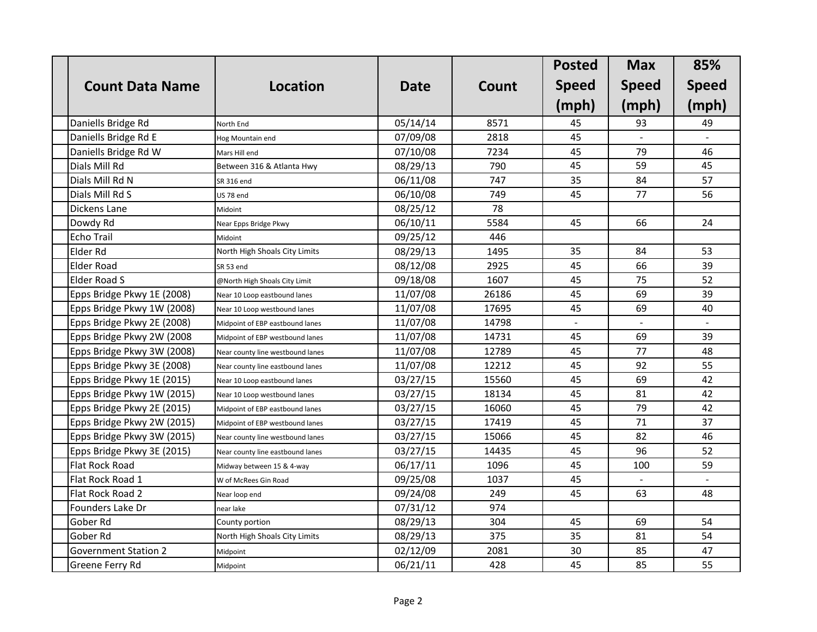|                             |                                  |             |       | <b>Posted</b> | <b>Max</b>   | 85%          |
|-----------------------------|----------------------------------|-------------|-------|---------------|--------------|--------------|
| <b>Count Data Name</b>      | Location                         | <b>Date</b> | Count | <b>Speed</b>  | <b>Speed</b> | <b>Speed</b> |
|                             |                                  |             |       | (mph)         | (mph)        | (mph)        |
| Daniells Bridge Rd          | North End                        | 05/14/14    | 8571  | 45            | 93           | 49           |
| Daniells Bridge Rd E        | Hog Mountain end                 | 07/09/08    | 2818  | 45            |              |              |
| Daniells Bridge Rd W        | Mars Hill end                    | 07/10/08    | 7234  | 45            | 79           | 46           |
| Dials Mill Rd               | Between 316 & Atlanta Hwy        | 08/29/13    | 790   | 45            | 59           | 45           |
| Dials Mill Rd N             | SR 316 end                       | 06/11/08    | 747   | 35            | 84           | 57           |
| Dials Mill Rd S             | US 78 end                        | 06/10/08    | 749   | 45            | 77           | 56           |
| Dickens Lane                | Midoint                          | 08/25/12    | 78    |               |              |              |
| Dowdy Rd                    | Near Epps Bridge Pkwy            | 06/10/11    | 5584  | 45            | 66           | 24           |
| <b>Echo Trail</b>           | Midoint                          | 09/25/12    | 446   |               |              |              |
| Elder Rd                    | North High Shoals City Limits    | 08/29/13    | 1495  | 35            | 84           | 53           |
| Elder Road                  | SR 53 end                        | 08/12/08    | 2925  | 45            | 66           | 39           |
| <b>Elder Road S</b>         | @North High Shoals City Limit    | 09/18/08    | 1607  | 45            | 75           | 52           |
| Epps Bridge Pkwy 1E (2008)  | Near 10 Loop eastbound lanes     | 11/07/08    | 26186 | 45            | 69           | 39           |
| Epps Bridge Pkwy 1W (2008)  | Near 10 Loop westbound lanes     | 11/07/08    | 17695 | 45            | 69           | 40           |
| Epps Bridge Pkwy 2E (2008)  | Midpoint of EBP eastbound lanes  | 11/07/08    | 14798 |               |              |              |
| Epps Bridge Pkwy 2W (2008   | Midpoint of EBP westbound lanes  | 11/07/08    | 14731 | 45            | 69           | 39           |
| Epps Bridge Pkwy 3W (2008)  | Near county line westbound lanes | 11/07/08    | 12789 | 45            | 77           | 48           |
| Epps Bridge Pkwy 3E (2008)  | Near county line eastbound lanes | 11/07/08    | 12212 | 45            | 92           | 55           |
| Epps Bridge Pkwy 1E (2015)  | Near 10 Loop eastbound lanes     | 03/27/15    | 15560 | 45            | 69           | 42           |
| Epps Bridge Pkwy 1W (2015)  | Near 10 Loop westbound lanes     | 03/27/15    | 18134 | 45            | 81           | 42           |
| Epps Bridge Pkwy 2E (2015)  | Midpoint of EBP eastbound lanes  | 03/27/15    | 16060 | 45            | 79           | 42           |
| Epps Bridge Pkwy 2W (2015)  | Midpoint of EBP westbound lanes  | 03/27/15    | 17419 | 45            | 71           | 37           |
| Epps Bridge Pkwy 3W (2015)  | Near county line westbound lanes | 03/27/15    | 15066 | 45            | 82           | 46           |
| Epps Bridge Pkwy 3E (2015)  | Near county line eastbound lanes | 03/27/15    | 14435 | 45            | 96           | 52           |
| Flat Rock Road              | Midway between 15 & 4-way        | 06/17/11    | 1096  | 45            | 100          | 59           |
| Flat Rock Road 1            | W of McRees Gin Road             | 09/25/08    | 1037  | 45            |              |              |
| Flat Rock Road 2            | Near loop end                    | 09/24/08    | 249   | 45            | 63           | 48           |
| Founders Lake Dr            | near lake                        | 07/31/12    | 974   |               |              |              |
| Gober Rd                    | County portion                   | 08/29/13    | 304   | 45            | 69           | 54           |
| Gober Rd                    | North High Shoals City Limits    | 08/29/13    | 375   | 35            | 81           | 54           |
| <b>Government Station 2</b> | Midpoint                         | 02/12/09    | 2081  | 30            | 85           | 47           |
| <b>Greene Ferry Rd</b>      | Midpoint                         | 06/21/11    | 428   | 45            | 85           | 55           |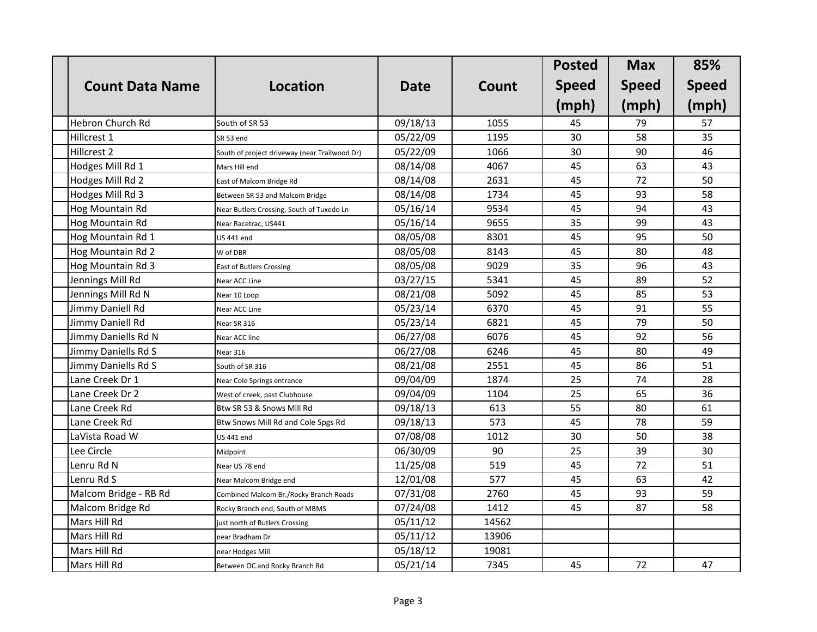|                        |                                               |             |       | <b>Posted</b> | <b>Max</b>   | 85%          |
|------------------------|-----------------------------------------------|-------------|-------|---------------|--------------|--------------|
| <b>Count Data Name</b> | <b>Location</b>                               | <b>Date</b> | Count | <b>Speed</b>  | <b>Speed</b> | <b>Speed</b> |
|                        |                                               |             |       | (mph)         | (mph)        | (mph)        |
| Hebron Church Rd       | South of SR 53                                | 09/18/13    | 1055  | 45            | 79           | 57           |
| Hillcrest 1            | SR 53 end                                     | 05/22/09    | 1195  | 30            | 58           | 35           |
| Hillcrest 2            | South of project driveway (near Trailwood Dr) | 05/22/09    | 1066  | 30            | 90           | 46           |
| Hodges Mill Rd 1       | Mars Hill end                                 | 08/14/08    | 4067  | 45            | 63           | 43           |
| Hodges Mill Rd 2       | East of Malcom Bridge Rd                      | 08/14/08    | 2631  | 45            | 72           | 50           |
| Hodges Mill Rd 3       | Between SR 53 and Malcom Bridge               | 08/14/08    | 1734  | 45            | 93           | 58           |
| Hog Mountain Rd        | Near Butlers Crossing, South of Tuxedo Ln     | 05/16/14    | 9534  | 45            | 94           | 43           |
| Hog Mountain Rd        | Near Racetrac, US441                          | 05/16/14    | 9655  | 35            | 99           | 43           |
| Hog Mountain Rd 1      | <b>US 441 end</b>                             | 08/05/08    | 8301  | 45            | 95           | 50           |
| Hog Mountain Rd 2      | W of DBR                                      | 08/05/08    | 8143  | 45            | 80           | 48           |
| Hog Mountain Rd 3      | <b>East of Butlers Crossing</b>               | 08/05/08    | 9029  | 35            | 96           | 43           |
| Jennings Mill Rd       | Near ACC Line                                 | 03/27/15    | 5341  | 45            | 89           | 52           |
| Jennings Mill Rd N     | Near 10 Loop                                  | 08/21/08    | 5092  | 45            | 85           | 53           |
| Jimmy Daniell Rd       | Near ACC Line                                 | 05/23/14    | 6370  | 45            | 91           | 55           |
| Jimmy Daniell Rd       | Near SR 316                                   | 05/23/14    | 6821  | 45            | 79           | 50           |
| Jimmy Daniells Rd N    | Near ACC line                                 | 06/27/08    | 6076  | 45            | 92           | 56           |
| Jimmy Daniells Rd S    | Near 316                                      | 06/27/08    | 6246  | 45            | 80           | 49           |
| Jimmy Daniells Rd S    | South of SR 316                               | 08/21/08    | 2551  | 45            | 86           | 51           |
| Lane Creek Dr 1        | Near Cole Springs entrance                    | 09/04/09    | 1874  | 25            | 74           | 28           |
| Lane Creek Dr 2        | West of creek, past Clubhouse                 | 09/04/09    | 1104  | 25            | 65           | 36           |
| Lane Creek Rd          | Btw SR 53 & Snows Mill Rd                     | 09/18/13    | 613   | 55            | 80           | 61           |
| Lane Creek Rd          | Btw Snows Mill Rd and Cole Spgs Rd            | 09/18/13    | 573   | 45            | 78           | 59           |
| LaVista Road W         | <b>US 441 end</b>                             | 07/08/08    | 1012  | 30            | 50           | 38           |
| Lee Circle             | Midpoint                                      | 06/30/09    | 90    | 25            | 39           | 30           |
| Lenru Rd N             | Near US 78 end                                | 11/25/08    | 519   | 45            | 72           | 51           |
| Lenru Rd S             | Near Malcom Bridge end                        | 12/01/08    | 577   | 45            | 63           | 42           |
| Malcom Bridge - RB Rd  | Combined Malcom Br./Rocky Branch Roads        | 07/31/08    | 2760  | 45            | 93           | 59           |
| Malcom Bridge Rd       | Rocky Branch end, South of MBMS               | 07/24/08    | 1412  | 45            | 87           | 58           |
| Mars Hill Rd           | just north of Butlers Crossing                | 05/11/12    | 14562 |               |              |              |
| Mars Hill Rd           | near Bradham Dr                               | 05/11/12    | 13906 |               |              |              |
| Mars Hill Rd           | near Hodges Mill                              | 05/18/12    | 19081 |               |              |              |
| Mars Hill Rd           | Between OC and Rocky Branch Rd                | 05/21/14    | 7345  | 45            | 72           | 47           |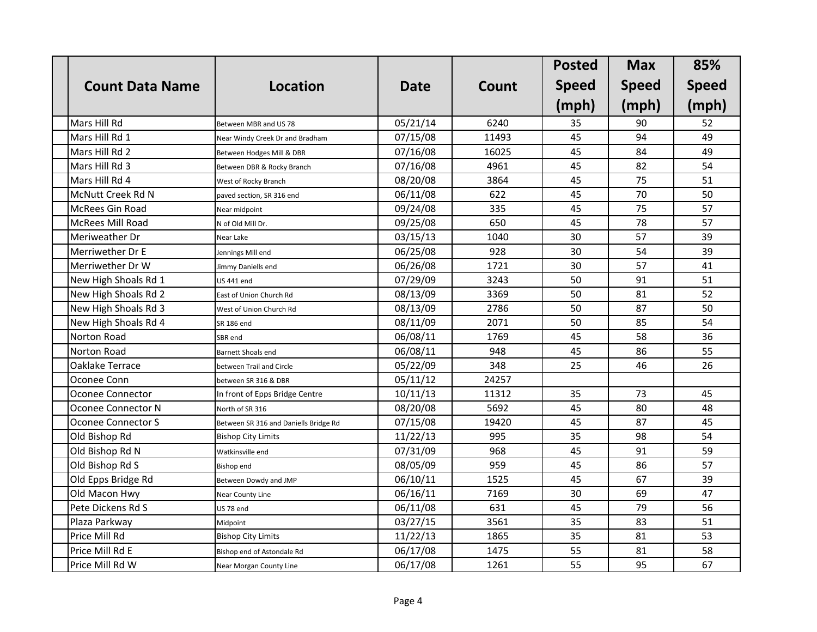|                         |                                       |             |       | <b>Posted</b> | <b>Max</b>   | 85%          |
|-------------------------|---------------------------------------|-------------|-------|---------------|--------------|--------------|
| <b>Count Data Name</b>  | <b>Location</b>                       | <b>Date</b> | Count | <b>Speed</b>  | <b>Speed</b> | <b>Speed</b> |
|                         |                                       |             |       | (mph)         | (mph)        | (mph)        |
| Mars Hill Rd            | Between MBR and US 78                 | 05/21/14    | 6240  | 35            | 90           | 52           |
| Mars Hill Rd 1          | Near Windy Creek Dr and Bradham       | 07/15/08    | 11493 | 45            | 94           | 49           |
| Mars Hill Rd 2          | Between Hodges Mill & DBR             | 07/16/08    | 16025 | 45            | 84           | 49           |
| Mars Hill Rd 3          | Between DBR & Rocky Branch            | 07/16/08    | 4961  | 45            | 82           | 54           |
| Mars Hill Rd 4          | West of Rocky Branch                  | 08/20/08    | 3864  | 45            | 75           | 51           |
| McNutt Creek Rd N       | paved section, SR 316 end             | 06/11/08    | 622   | 45            | 70           | 50           |
| McRees Gin Road         | Near midpoint                         | 09/24/08    | 335   | 45            | 75           | 57           |
| <b>McRees Mill Road</b> | N of Old Mill Dr.                     | 09/25/08    | 650   | 45            | 78           | 57           |
| Meriweather Dr          | Near Lake                             | 03/15/13    | 1040  | 30            | 57           | 39           |
| Merriwether Dr E        | Jennings Mill end                     | 06/25/08    | 928   | 30            | 54           | 39           |
| Merriwether Dr W        | Jimmy Daniells end                    | 06/26/08    | 1721  | 30            | 57           | 41           |
| New High Shoals Rd 1    | <b>US 441 end</b>                     | 07/29/09    | 3243  | 50            | 91           | 51           |
| New High Shoals Rd 2    | East of Union Church Rd               | 08/13/09    | 3369  | 50            | 81           | 52           |
| New High Shoals Rd 3    | West of Union Church Rd               | 08/13/09    | 2786  | 50            | 87           | 50           |
| New High Shoals Rd 4    | SR 186 end                            | 08/11/09    | 2071  | 50            | 85           | 54           |
| Norton Road             | SBR end                               | 06/08/11    | 1769  | 45            | 58           | 36           |
| Norton Road             | Barnett Shoals end                    | 06/08/11    | 948   | 45            | 86           | 55           |
| <b>Oaklake Terrace</b>  | between Trail and Circle              | 05/22/09    | 348   | 25            | 46           | 26           |
| Oconee Conn             | between SR 316 & DBR                  | 05/11/12    | 24257 |               |              |              |
| Oconee Connector        | In front of Epps Bridge Centre        | 10/11/13    | 11312 | 35            | 73           | 45           |
| Oconee Connector N      | North of SR 316                       | 08/20/08    | 5692  | 45            | 80           | 48           |
| Oconee Connector S      | Between SR 316 and Daniells Bridge Rd | 07/15/08    | 19420 | 45            | 87           | 45           |
| Old Bishop Rd           | <b>Bishop City Limits</b>             | 11/22/13    | 995   | 35            | 98           | 54           |
| Old Bishop Rd N         | Watkinsville end                      | 07/31/09    | 968   | 45            | 91           | 59           |
| Old Bishop Rd S         | Bishop end                            | 08/05/09    | 959   | 45            | 86           | 57           |
| Old Epps Bridge Rd      | Between Dowdy and JMP                 | 06/10/11    | 1525  | 45            | 67           | 39           |
| Old Macon Hwy           | Near County Line                      | 06/16/11    | 7169  | 30            | 69           | 47           |
| Pete Dickens Rd S       | US 78 end                             | 06/11/08    | 631   | 45            | 79           | 56           |
| Plaza Parkway           | Midpoint                              | 03/27/15    | 3561  | 35            | 83           | 51           |
| Price Mill Rd           | <b>Bishop City Limits</b>             | 11/22/13    | 1865  | 35            | 81           | 53           |
| Price Mill Rd E         | Bishop end of Astondale Rd            | 06/17/08    | 1475  | 55            | 81           | 58           |
| Price Mill Rd W         | Near Morgan County Line               | 06/17/08    | 1261  | 55            | 95           | 67           |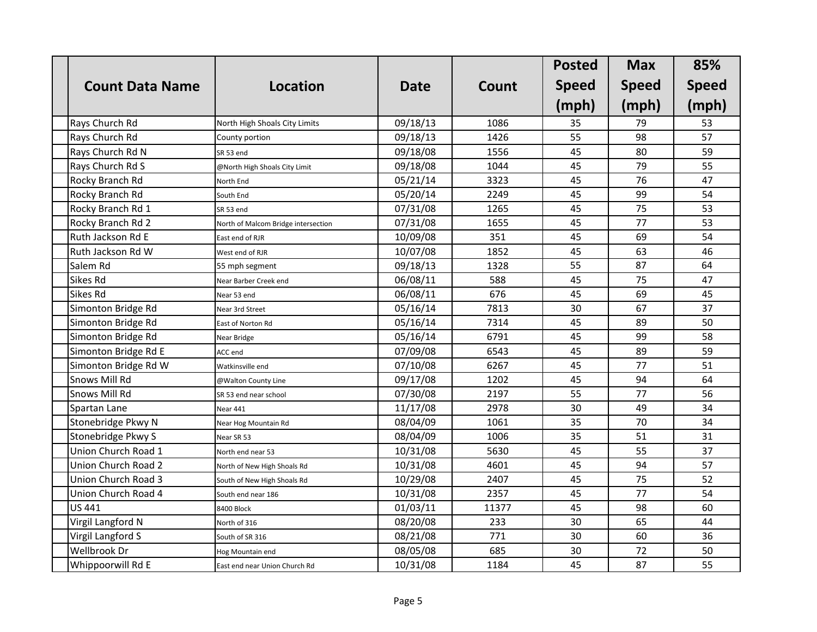|                        |                                     |             |       | <b>Posted</b> | <b>Max</b>   | 85%          |
|------------------------|-------------------------------------|-------------|-------|---------------|--------------|--------------|
| <b>Count Data Name</b> | <b>Location</b>                     | <b>Date</b> | Count | <b>Speed</b>  | <b>Speed</b> | <b>Speed</b> |
|                        |                                     |             |       | (mph)         | (mph)        | (mph)        |
| Rays Church Rd         | North High Shoals City Limits       | 09/18/13    | 1086  | 35            | 79           | 53           |
| Rays Church Rd         | County portion                      | 09/18/13    | 1426  | 55            | 98           | 57           |
| Rays Church Rd N       | SR 53 end                           | 09/18/08    | 1556  | 45            | 80           | 59           |
| Rays Church Rd S       | @North High Shoals City Limit       | 09/18/08    | 1044  | 45            | 79           | 55           |
| Rocky Branch Rd        | North End                           | 05/21/14    | 3323  | 45            | 76           | 47           |
| Rocky Branch Rd        | South End                           | 05/20/14    | 2249  | 45            | 99           | 54           |
| Rocky Branch Rd 1      | SR 53 end                           | 07/31/08    | 1265  | 45            | 75           | 53           |
| Rocky Branch Rd 2      | North of Malcom Bridge intersection | 07/31/08    | 1655  | 45            | 77           | 53           |
| Ruth Jackson Rd E      | East end of RJR                     | 10/09/08    | 351   | 45            | 69           | 54           |
| Ruth Jackson Rd W      | West end of RJR                     | 10/07/08    | 1852  | 45            | 63           | 46           |
| Salem Rd               | 55 mph segment                      | 09/18/13    | 1328  | 55            | 87           | 64           |
| <b>Sikes Rd</b>        | Near Barber Creek end               | 06/08/11    | 588   | 45            | 75           | 47           |
| <b>Sikes Rd</b>        | Near 53 end                         | 06/08/11    | 676   | 45            | 69           | 45           |
| Simonton Bridge Rd     | Near 3rd Street                     | 05/16/14    | 7813  | 30            | 67           | 37           |
| Simonton Bridge Rd     | East of Norton Rd                   | 05/16/14    | 7314  | 45            | 89           | 50           |
| Simonton Bridge Rd     | Near Bridge                         | 05/16/14    | 6791  | 45            | 99           | 58           |
| Simonton Bridge Rd E   | ACC end                             | 07/09/08    | 6543  | 45            | 89           | 59           |
| Simonton Bridge Rd W   | Watkinsville end                    | 07/10/08    | 6267  | 45            | 77           | 51           |
| <b>Snows Mill Rd</b>   | @Walton County Line                 | 09/17/08    | 1202  | 45            | 94           | 64           |
| <b>Snows Mill Rd</b>   | SR 53 end near school               | 07/30/08    | 2197  | 55            | 77           | 56           |
| Spartan Lane           | Near 441                            | 11/17/08    | 2978  | 30            | 49           | 34           |
| Stonebridge Pkwy N     | Near Hog Mountain Rd                | 08/04/09    | 1061  | 35            | 70           | 34           |
| Stonebridge Pkwy S     | Near SR 53                          | 08/04/09    | 1006  | 35            | 51           | 31           |
| Union Church Road 1    | North end near 53                   | 10/31/08    | 5630  | 45            | 55           | 37           |
| Union Church Road 2    | North of New High Shoals Rd         | 10/31/08    | 4601  | 45            | 94           | 57           |
| Union Church Road 3    | South of New High Shoals Rd         | 10/29/08    | 2407  | 45            | 75           | 52           |
| Union Church Road 4    | South end near 186                  | 10/31/08    | 2357  | 45            | 77           | 54           |
| <b>US 441</b>          | 8400 Block                          | 01/03/11    | 11377 | 45            | 98           | 60           |
| Virgil Langford N      | North of 316                        | 08/20/08    | 233   | 30            | 65           | 44           |
| Virgil Langford S      | South of SR 316                     | 08/21/08    | 771   | 30            | 60           | 36           |
| <b>Wellbrook Dr</b>    | Hog Mountain end                    | 08/05/08    | 685   | 30            | 72           | 50           |
| Whippoorwill Rd E      | East end near Union Church Rd       | 10/31/08    | 1184  | 45            | 87           | 55           |